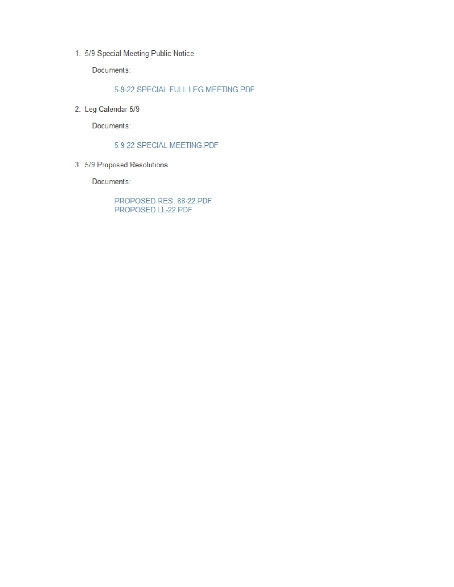1. 5/9 Special Meeting Public Notice

Documents:

5-9-22 SPECIAL FULL LEG MEETING.PDF

2. Leg Calendar 5/9

Documents:

#### 5-9-22 SPECIAL MEETING.PDF

3. 5/9 Proposed Resolutions

Documents:

PROPOSED RES. 88-22.PDF PROPOSED LL-22.PDF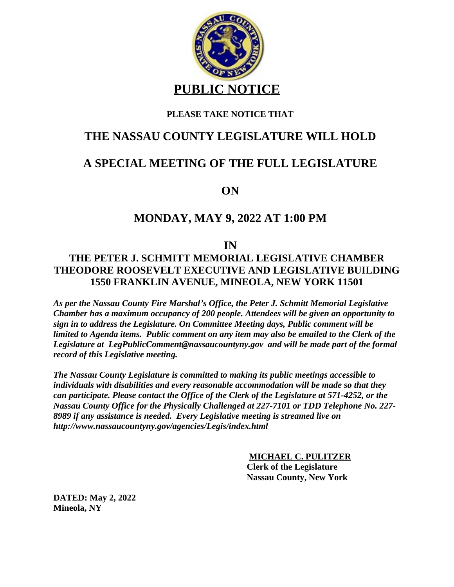

### **PLEASE TAKE NOTICE THAT**

## **THE NASSAU COUNTY LEGISLATURE WILL HOLD**

# **A SPECIAL MEETING OF THE FULL LEGISLATURE**

**ON**

### **MONDAY, MAY 9, 2022 AT 1:00 PM**

**IN**

### **THE PETER J. SCHMITT MEMORIAL LEGISLATIVE CHAMBER THEODORE ROOSEVELT EXECUTIVE AND LEGISLATIVE BUILDING 1550 FRANKLIN AVENUE, MINEOLA, NEW YORK 11501**

*As per the Nassau County Fire Marshal's Office, the Peter J. Schmitt Memorial Legislative Chamber has a maximum occupancy of 200 people. Attendees will be given an opportunity to sign in to address the Legislature. On Committee Meeting days, Public comment will be limited to Agenda items. Public comment on any item may also be emailed to the Clerk of the Legislature at LegPublicComment@nassaucountyny.gov and will be made part of the formal record of this Legislative meeting.* 

*The Nassau County Legislature is committed to making its public meetings accessible to individuals with disabilities and every reasonable accommodation will be made so that they can participate. Please contact the Office of the Clerk of the Legislature at 571-4252, or the Nassau County Office for the Physically Challenged at 227-7101 or TDD Telephone No. 227- 8989 if any assistance is needed. Every Legislative meeting is streamed live on http://www.nassaucountyny.gov/agencies/Legis/index.html*

> **MICHAEL C. PULITZER Clerk of the Legislature Nassau County, New York**

**DATED: May 2, 2022 Mineola, NY**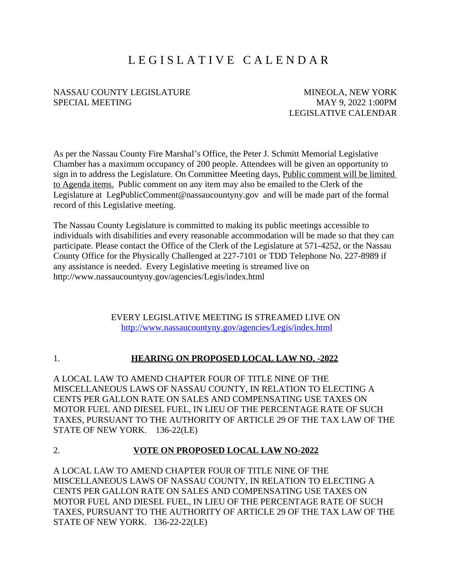# L E G I S L A T I V E C A L E N D A R

#### NASSAU COUNTY LEGISLATURE MINEOLA, NEW YORK SPECIAL MEETING MAY 9, 2022 1:00PM

LEGISLATIVE CALENDAR

As per the Nassau County Fire Marshal's Office, the Peter J. Schmitt Memorial Legislative Chamber has a maximum occupancy of 200 people. Attendees will be given an opportunity to sign in to address the Legislature. On Committee Meeting days, Public comment will be limited to Agenda items. Public comment on any item may also be emailed to the Clerk of the Legislature at LegPublicComment@nassaucountyny.gov and will be made part of the formal record of this Legislative meeting.

The Nassau County Legislature is committed to making its public meetings accessible to individuals with disabilities and every reasonable accommodation will be made so that they can participate. Please contact the Office of the Clerk of the Legislature at 571-4252, or the Nassau County Office for the Physically Challenged at 227-7101 or TDD Telephone No. 227-8989 if any assistance is needed. Every Legislative meeting is streamed live on http://www.nassaucountyny.gov/agencies/Legis/index.html

> EVERY LEGISLATIVE MEETING IS STREAMED LIVE ON <http://www.nassaucountyny.gov/agencies/Legis/index.html>

#### 1. **HEARING ON PROPOSED LOCAL LAW NO. -2022**

A LOCAL LAW TO AMEND CHAPTER FOUR OF TITLE NINE OF THE MISCELLANEOUS LAWS OF NASSAU COUNTY, IN RELATION TO ELECTING A CENTS PER GALLON RATE ON SALES AND COMPENSATING USE TAXES ON MOTOR FUEL AND DIESEL FUEL, IN LIEU OF THE PERCENTAGE RATE OF SUCH TAXES, PURSUANT TO THE AUTHORITY OF ARTICLE 29 OF THE TAX LAW OF THE STATE OF NEW YORK. 136-22(LE)

#### 2. **VOTE ON PROPOSED LOCAL LAW NO-2022**

A LOCAL LAW TO AMEND CHAPTER FOUR OF TITLE NINE OF THE MISCELLANEOUS LAWS OF NASSAU COUNTY, IN RELATION TO ELECTING A CENTS PER GALLON RATE ON SALES AND COMPENSATING USE TAXES ON MOTOR FUEL AND DIESEL FUEL, IN LIEU OF THE PERCENTAGE RATE OF SUCH TAXES, PURSUANT TO THE AUTHORITY OF ARTICLE 29 OF THE TAX LAW OF THE STATE OF NEW YORK. 136-22-22(LE)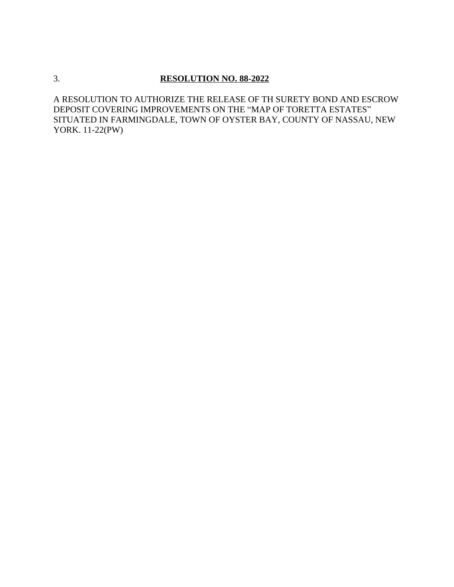### 3. **RESOLUTION NO. 88-2022**

A RESOLUTION TO AUTHORIZE THE RELEASE OF TH SURETY BOND AND ESCROW DEPOSIT COVERING IMPROVEMENTS ON THE "MAP OF TORETTA ESTATES" SITUATED IN FARMINGDALE, TOWN OF OYSTER BAY, COUNTY OF NASSAU, NEW YORK. 11-22(PW)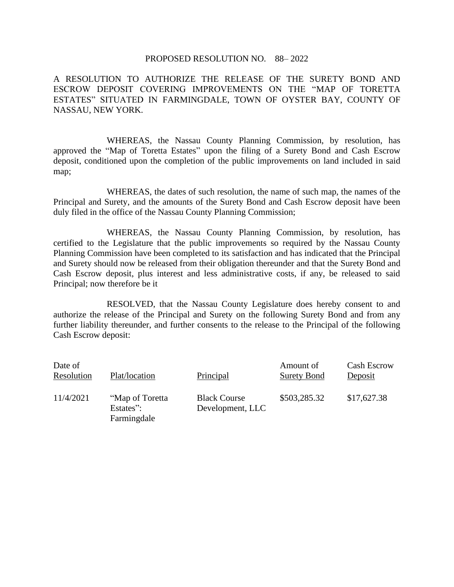#### PROPOSED RESOLUTION NO. 88– 2022

A RESOLUTION TO AUTHORIZE THE RELEASE OF THE SURETY BOND AND ESCROW DEPOSIT COVERING IMPROVEMENTS ON THE "MAP OF TORETTA ESTATES" SITUATED IN FARMINGDALE, TOWN OF OYSTER BAY, COUNTY OF NASSAU, NEW YORK.

WHEREAS, the Nassau County Planning Commission, by resolution, has approved the "Map of Toretta Estates" upon the filing of a Surety Bond and Cash Escrow deposit, conditioned upon the completion of the public improvements on land included in said map;

WHEREAS, the dates of such resolution, the name of such map, the names of the Principal and Surety, and the amounts of the Surety Bond and Cash Escrow deposit have been duly filed in the office of the Nassau County Planning Commission;

WHEREAS, the Nassau County Planning Commission, by resolution, has certified to the Legislature that the public improvements so required by the Nassau County Planning Commission have been completed to its satisfaction and has indicated that the Principal and Surety should now be released from their obligation thereunder and that the Surety Bond and Cash Escrow deposit, plus interest and less administrative costs, if any, be released to said Principal; now therefore be it

RESOLVED, that the Nassau County Legislature does hereby consent to and authorize the release of the Principal and Surety on the following Surety Bond and from any further liability thereunder, and further consents to the release to the Principal of the following Cash Escrow deposit:

| Date of<br>Resolution | Plat/location                               | Principal                               | Amount of<br><b>Surety Bond</b> | <b>Cash Escrow</b><br>Deposit |
|-----------------------|---------------------------------------------|-----------------------------------------|---------------------------------|-------------------------------|
| 11/4/2021             | "Map of Toretta<br>Estates":<br>Farmingdale | <b>Black Course</b><br>Development, LLC | \$503,285.32                    | \$17,627.38                   |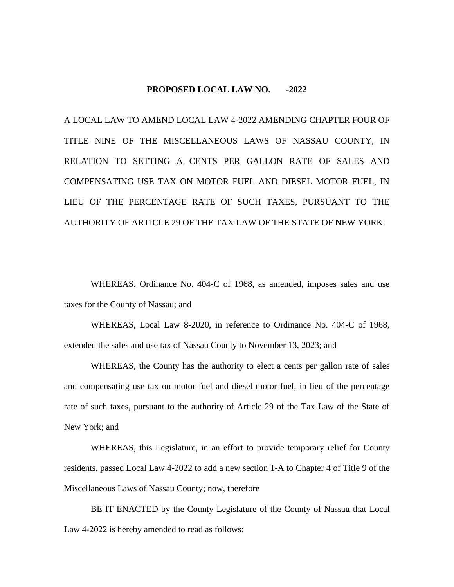#### **PROPOSED LOCAL LAW NO. -2022**

A LOCAL LAW TO AMEND LOCAL LAW 4-2022 AMENDING CHAPTER FOUR OF TITLE NINE OF THE MISCELLANEOUS LAWS OF NASSAU COUNTY, IN RELATION TO SETTING A CENTS PER GALLON RATE OF SALES AND COMPENSATING USE TAX ON MOTOR FUEL AND DIESEL MOTOR FUEL, IN LIEU OF THE PERCENTAGE RATE OF SUCH TAXES, PURSUANT TO THE AUTHORITY OF ARTICLE 29 OF THE TAX LAW OF THE STATE OF NEW YORK.

WHEREAS, Ordinance No. 404-C of 1968, as amended, imposes sales and use taxes for the County of Nassau; and

WHEREAS, Local Law 8-2020, in reference to Ordinance No. 404-C of 1968, extended the sales and use tax of Nassau County to November 13, 2023; and

WHEREAS, the County has the authority to elect a cents per gallon rate of sales and compensating use tax on motor fuel and diesel motor fuel, in lieu of the percentage rate of such taxes, pursuant to the authority of Article 29 of the Tax Law of the State of New York; and

WHEREAS, this Legislature, in an effort to provide temporary relief for County residents, passed Local Law 4-2022 to add a new section 1-A to Chapter 4 of Title 9 of the Miscellaneous Laws of Nassau County; now, therefore

BE IT ENACTED by the County Legislature of the County of Nassau that Local Law 4-2022 is hereby amended to read as follows: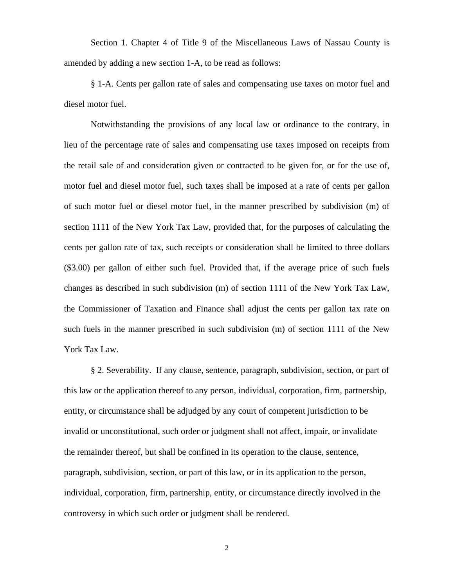Section 1. Chapter 4 of Title 9 of the Miscellaneous Laws of Nassau County is amended by adding a new section 1-A, to be read as follows:

§ 1-A. Cents per gallon rate of sales and compensating use taxes on motor fuel and diesel motor fuel.

Notwithstanding the provisions of any local law or ordinance to the contrary, in lieu of the percentage rate of sales and compensating use taxes imposed on receipts from the retail sale of and consideration given or contracted to be given for, or for the use of, motor fuel and diesel motor fuel, such taxes shall be imposed at a rate of cents per gallon of such motor fuel or diesel motor fuel, in the manner prescribed by subdivision (m) of section 1111 of the New York Tax Law, provided that, for the purposes of calculating the cents per gallon rate of tax, such receipts or consideration shall be limited to three dollars (\$3.00) per gallon of either such fuel. Provided that, if the average price of such fuels changes as described in such subdivision (m) of section 1111 of the New York Tax Law, the Commissioner of Taxation and Finance shall adjust the cents per gallon tax rate on such fuels in the manner prescribed in such subdivision (m) of section 1111 of the New York Tax Law.

§ 2. Severability. If any clause, sentence, paragraph, subdivision, section, or part of this law or the application thereof to any person, individual, corporation, firm, partnership, entity, or circumstance shall be adjudged by any court of competent jurisdiction to be invalid or unconstitutional, such order or judgment shall not affect, impair, or invalidate the remainder thereof, but shall be confined in its operation to the clause, sentence, paragraph, subdivision, section, or part of this law, or in its application to the person, individual, corporation, firm, partnership, entity, or circumstance directly involved in the controversy in which such order or judgment shall be rendered.

2